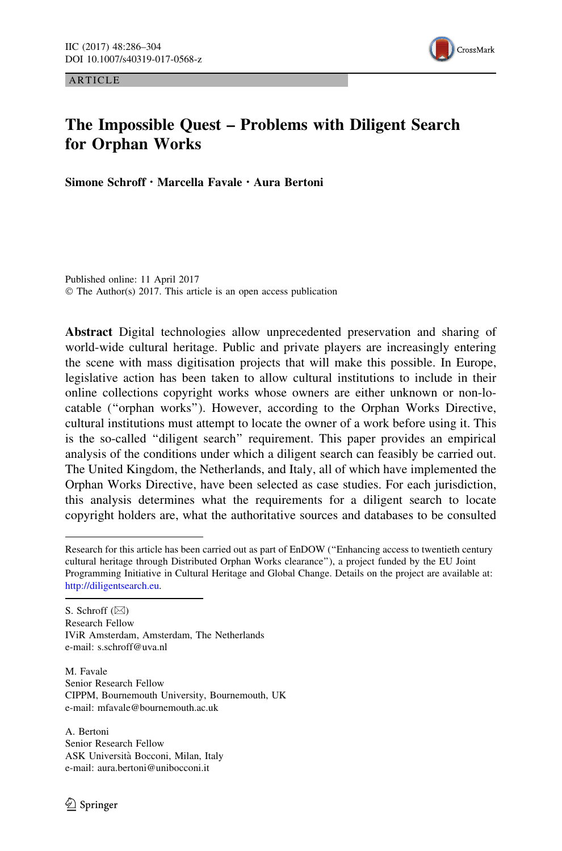ARTICLE



# The Impossible Quest – Problems with Diligent Search for Orphan Works

Simone Schroff . Marcella Favale . Aura Bertoni

Published online: 11 April 2017 © The Author(s) 2017. This article is an open access publication

Abstract Digital technologies allow unprecedented preservation and sharing of world-wide cultural heritage. Public and private players are increasingly entering the scene with mass digitisation projects that will make this possible. In Europe, legislative action has been taken to allow cultural institutions to include in their online collections copyright works whose owners are either unknown or non-locatable (''orphan works''). However, according to the Orphan Works Directive, cultural institutions must attempt to locate the owner of a work before using it. This is the so-called ''diligent search'' requirement. This paper provides an empirical analysis of the conditions under which a diligent search can feasibly be carried out. The United Kingdom, the Netherlands, and Italy, all of which have implemented the Orphan Works Directive, have been selected as case studies. For each jurisdiction, this analysis determines what the requirements for a diligent search to locate copyright holders are, what the authoritative sources and databases to be consulted

S. Schroff  $(\boxtimes)$ Research Fellow IViR Amsterdam, Amsterdam, The Netherlands e-mail: s.schroff@uva.nl

M. Favale Senior Research Fellow CIPPM, Bournemouth University, Bournemouth, UK e-mail: mfavale@bournemouth.ac.uk

A. Bertoni Senior Research Fellow ASK Universita` Bocconi, Milan, Italy e-mail: aura.bertoni@unibocconi.it

Research for this article has been carried out as part of EnDOW (''Enhancing access to twentieth century cultural heritage through Distributed Orphan Works clearance''), a project funded by the EU Joint Programming Initiative in Cultural Heritage and Global Change. Details on the project are available at: <http://diligentsearch.eu>.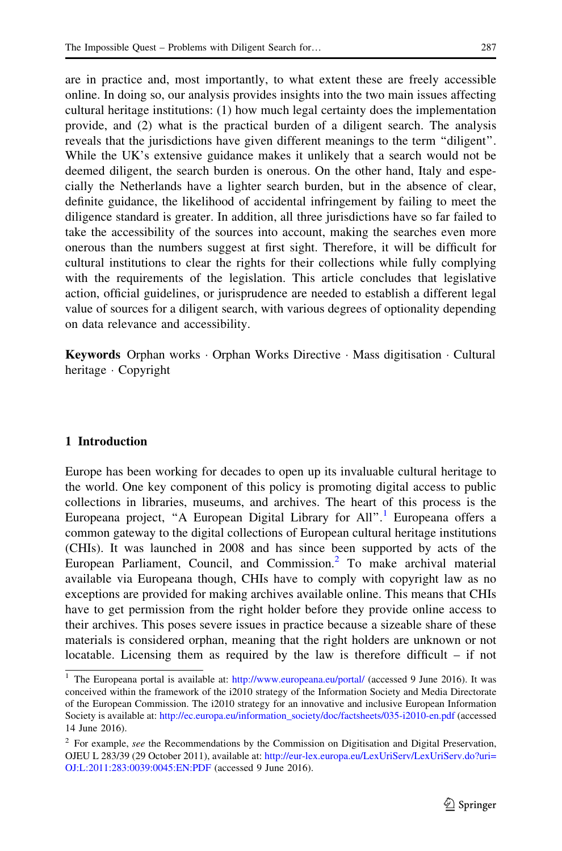are in practice and, most importantly, to what extent these are freely accessible online. In doing so, our analysis provides insights into the two main issues affecting cultural heritage institutions: (1) how much legal certainty does the implementation provide, and (2) what is the practical burden of a diligent search. The analysis reveals that the jurisdictions have given different meanings to the term ''diligent''. While the UK's extensive guidance makes it unlikely that a search would not be deemed diligent, the search burden is onerous. On the other hand, Italy and especially the Netherlands have a lighter search burden, but in the absence of clear, definite guidance, the likelihood of accidental infringement by failing to meet the diligence standard is greater. In addition, all three jurisdictions have so far failed to take the accessibility of the sources into account, making the searches even more onerous than the numbers suggest at first sight. Therefore, it will be difficult for cultural institutions to clear the rights for their collections while fully complying with the requirements of the legislation. This article concludes that legislative action, official guidelines, or jurisprudence are needed to establish a different legal value of sources for a diligent search, with various degrees of optionality depending on data relevance and accessibility.

Keywords Orphan works · Orphan Works Directive · Mass digitisation · Cultural heritage - Copyright

### 1 Introduction

Europe has been working for decades to open up its invaluable cultural heritage to the world. One key component of this policy is promoting digital access to public collections in libraries, museums, and archives. The heart of this process is the Europeana project, "A European Digital Library for All".<sup>1</sup> Europeana offers a common gateway to the digital collections of European cultural heritage institutions (CHIs). It was launched in 2008 and has since been supported by acts of the European Parliament, Council, and Commission.<sup>2</sup> To make archival material available via Europeana though, CHIs have to comply with copyright law as no exceptions are provided for making archives available online. This means that CHIs have to get permission from the right holder before they provide online access to their archives. This poses severe issues in practice because a sizeable share of these materials is considered orphan, meaning that the right holders are unknown or not locatable. Licensing them as required by the law is therefore difficult – if not

<sup>&</sup>lt;sup>1</sup> The Europeana portal is available at: <http://www.europeana.eu/portal/> (accessed 9 June 2016). It was conceived within the framework of the i2010 strategy of the Information Society and Media Directorate of the European Commission. The i2010 strategy for an innovative and inclusive European Information Society is available at: [http://ec.europa.eu/information\\_society/doc/factsheets/035-i2010-en.pdf](http://ec.europa.eu/information_society/doc/factsheets/035-i2010-en.pdf) (accessed 14 June 2016).

 $2$  For example, see the Recommendations by the Commission on Digitisation and Digital Preservation, OJEU L 283/39 (29 October 2011), available at: [http://eur-lex.europa.eu/LexUriServ/LexUriServ.do?uri=](http://eur-lex.europa.eu/LexUriServ/LexUriServ.do%3furi%3dOJ:L:2011:283:0039:0045:EN:PDF) [OJ:L:2011:283:0039:0045:EN:PDF](http://eur-lex.europa.eu/LexUriServ/LexUriServ.do%3furi%3dOJ:L:2011:283:0039:0045:EN:PDF) (accessed 9 June 2016).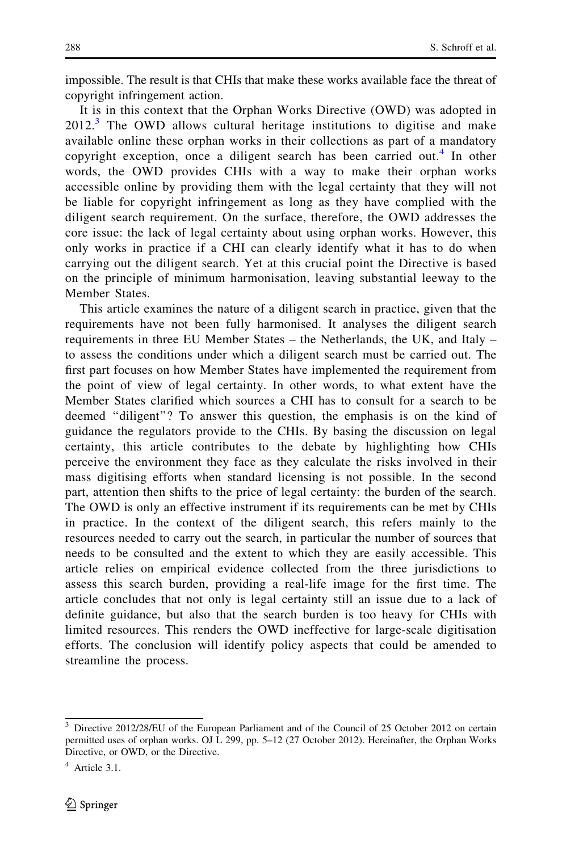impossible. The result is that CHIs that make these works available face the threat of copyright infringement action.

It is in this context that the Orphan Works Directive (OWD) was adopted in  $2012<sup>3</sup>$  The OWD allows cultural heritage institutions to digitise and make available online these orphan works in their collections as part of a mandatory copyright exception, once a diligent search has been carried out.<sup>4</sup> In other words, the OWD provides CHIs with a way to make their orphan works accessible online by providing them with the legal certainty that they will not be liable for copyright infringement as long as they have complied with the diligent search requirement. On the surface, therefore, the OWD addresses the core issue: the lack of legal certainty about using orphan works. However, this only works in practice if a CHI can clearly identify what it has to do when carrying out the diligent search. Yet at this crucial point the Directive is based on the principle of minimum harmonisation, leaving substantial leeway to the Member States.

This article examines the nature of a diligent search in practice, given that the requirements have not been fully harmonised. It analyses the diligent search requirements in three EU Member States – the Netherlands, the UK, and Italy – to assess the conditions under which a diligent search must be carried out. The first part focuses on how Member States have implemented the requirement from the point of view of legal certainty. In other words, to what extent have the Member States clarified which sources a CHI has to consult for a search to be deemed ''diligent''? To answer this question, the emphasis is on the kind of guidance the regulators provide to the CHIs. By basing the discussion on legal certainty, this article contributes to the debate by highlighting how CHIs perceive the environment they face as they calculate the risks involved in their mass digitising efforts when standard licensing is not possible. In the second part, attention then shifts to the price of legal certainty: the burden of the search. The OWD is only an effective instrument if its requirements can be met by CHIs in practice. In the context of the diligent search, this refers mainly to the resources needed to carry out the search, in particular the number of sources that needs to be consulted and the extent to which they are easily accessible. This article relies on empirical evidence collected from the three jurisdictions to assess this search burden, providing a real-life image for the first time. The article concludes that not only is legal certainty still an issue due to a lack of definite guidance, but also that the search burden is too heavy for CHIs with limited resources. This renders the OWD ineffective for large-scale digitisation efforts. The conclusion will identify policy aspects that could be amended to streamline the process.

<sup>&</sup>lt;sup>3</sup> Directive 2012/28/EU of the European Parliament and of the Council of 25 October 2012 on certain permitted uses of orphan works. OJ L 299, pp. 5–12 (27 October 2012). Hereinafter, the Orphan Works Directive, or OWD, or the Directive.

 $4$  Article 3.1.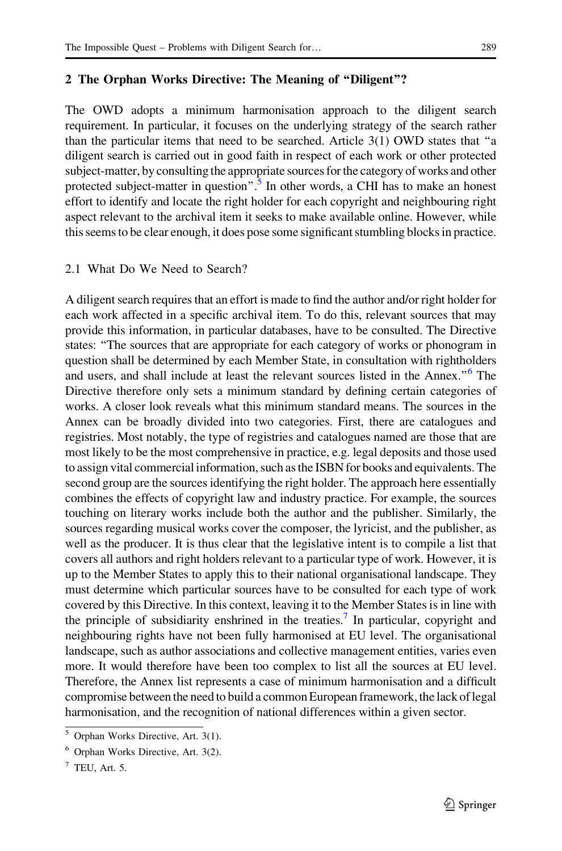### 2 The Orphan Works Directive: The Meaning of ''Diligent''?

The OWD adopts a minimum harmonisation approach to the diligent search requirement. In particular, it focuses on the underlying strategy of the search rather than the particular items that need to be searched. Article 3(1) OWD states that ''a diligent search is carried out in good faith in respect of each work or other protected subject-matter, by consulting the appropriate sources for the category of works and other protected subject-matter in question".<sup>5</sup> In other words, a CHI has to make an honest effort to identify and locate the right holder for each copyright and neighbouring right aspect relevant to the archival item it seeks to make available online. However, while this seems to be clear enough, it does pose some significant stumbling blocks in practice.

### 2.1 What Do We Need to Search?

A diligent search requires that an effort is made to find the author and/or right holder for each work affected in a specific archival item. To do this, relevant sources that may provide this information, in particular databases, have to be consulted. The Directive states: ''The sources that are appropriate for each category of works or phonogram in question shall be determined by each Member State, in consultation with rightholders and users, and shall include at least the relevant sources listed in the Annex."<sup>6</sup> The Directive therefore only sets a minimum standard by defining certain categories of works. A closer look reveals what this minimum standard means. The sources in the Annex can be broadly divided into two categories. First, there are catalogues and registries. Most notably, the type of registries and catalogues named are those that are most likely to be the most comprehensive in practice, e.g. legal deposits and those used to assign vital commercial information, such as the ISBN for books and equivalents. The second group are the sources identifying the right holder. The approach here essentially combines the effects of copyright law and industry practice. For example, the sources touching on literary works include both the author and the publisher. Similarly, the sources regarding musical works cover the composer, the lyricist, and the publisher, as well as the producer. It is thus clear that the legislative intent is to compile a list that covers all authors and right holders relevant to a particular type of work. However, it is up to the Member States to apply this to their national organisational landscape. They must determine which particular sources have to be consulted for each type of work covered by this Directive. In this context, leaving it to the Member States is in line with the principle of subsidiarity enshrined in the treaties.<sup>7</sup> In particular, copyright and neighbouring rights have not been fully harmonised at EU level. The organisational landscape, such as author associations and collective management entities, varies even more. It would therefore have been too complex to list all the sources at EU level. Therefore, the Annex list represents a case of minimum harmonisation and a difficult compromise between the need to build a common European framework, the lack of legal harmonisation, and the recognition of national differences within a given sector.

<sup>5</sup> Orphan Works Directive, Art. 3(1).

<sup>6</sup> Orphan Works Directive, Art. 3(2).

 $<sup>7</sup>$  TEU, Art. 5.</sup>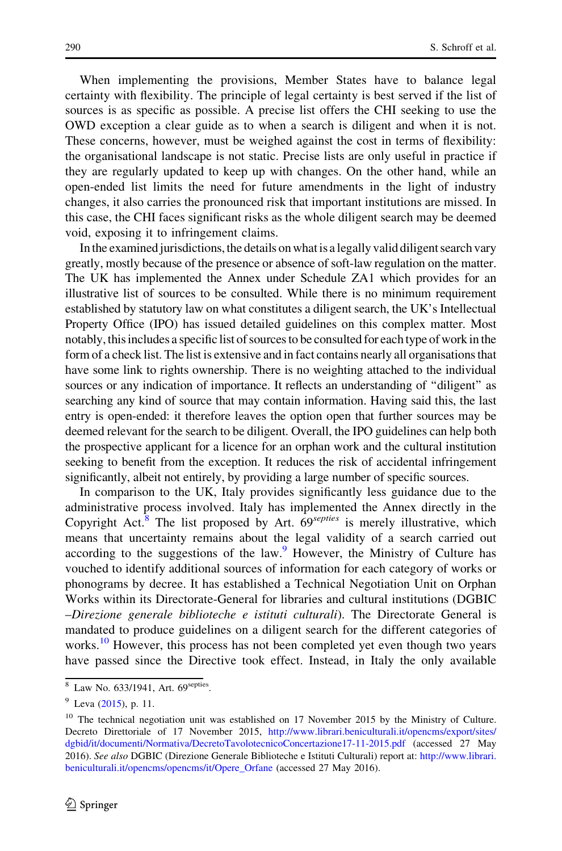When implementing the provisions, Member States have to balance legal certainty with flexibility. The principle of legal certainty is best served if the list of sources is as specific as possible. A precise list offers the CHI seeking to use the OWD exception a clear guide as to when a search is diligent and when it is not. These concerns, however, must be weighed against the cost in terms of flexibility: the organisational landscape is not static. Precise lists are only useful in practice if they are regularly updated to keep up with changes. On the other hand, while an open-ended list limits the need for future amendments in the light of industry changes, it also carries the pronounced risk that important institutions are missed. In this case, the CHI faces significant risks as the whole diligent search may be deemed void, exposing it to infringement claims.

In the examined jurisdictions, the details on what is a legally valid diligent search vary greatly, mostly because of the presence or absence of soft-law regulation on the matter. The UK has implemented the Annex under Schedule ZA1 which provides for an illustrative list of sources to be consulted. While there is no minimum requirement established by statutory law on what constitutes a diligent search, the UK's Intellectual Property Office (IPO) has issued detailed guidelines on this complex matter. Most notably, this includes a specific list of sources to be consulted for each type of work in the form of a check list. The list is extensive and in fact contains nearly all organisations that have some link to rights ownership. There is no weighting attached to the individual sources or any indication of importance. It reflects an understanding of ''diligent'' as searching any kind of source that may contain information. Having said this, the last entry is open-ended: it therefore leaves the option open that further sources may be deemed relevant for the search to be diligent. Overall, the IPO guidelines can help both the prospective applicant for a licence for an orphan work and the cultural institution seeking to benefit from the exception. It reduces the risk of accidental infringement significantly, albeit not entirely, by providing a large number of specific sources.

In comparison to the UK, Italy provides significantly less guidance due to the administrative process involved. Italy has implemented the Annex directly in the Copyright Act.<sup>8</sup> The list proposed by Art.  $69^{septies}$  is merely illustrative, which means that uncertainty remains about the legal validity of a search carried out according to the suggestions of the law. <sup>9</sup> However, the Ministry of Culture has vouched to identify additional sources of information for each category of works or phonograms by decree. It has established a Technical Negotiation Unit on Orphan Works within its Directorate-General for libraries and cultural institutions (DGBIC  $-Direzione$  generale biblioteche e istituti culturali). The Directorate General is mandated to produce guidelines on a diligent search for the different categories of works.<sup>10</sup> However, this process has not been completed yet even though two years have passed since the Directive took effect. Instead, in Italy the only available

<sup>&</sup>lt;sup>8</sup> Law No. 633/1941, Art. 69<sup>septies</sup>.

 $9$  Leva [\(2015](#page-18-0)), p. 11.

<sup>&</sup>lt;sup>10</sup> The technical negotiation unit was established on 17 November 2015 by the Ministry of Culture. Decreto Direttoriale of 17 November 2015, [http://www.librari.beniculturali.it/opencms/export/sites/](http://www.librari.beniculturali.it/opencms/export/sites/dgbid/it/documenti/Normativa/DecretoTavolotecnicoConcertazione17-11-2015.pdf) [dgbid/it/documenti/Normativa/DecretoTavolotecnicoConcertazione17-11-2015.pdf](http://www.librari.beniculturali.it/opencms/export/sites/dgbid/it/documenti/Normativa/DecretoTavolotecnicoConcertazione17-11-2015.pdf) (accessed 27 May 2016). See also DGBIC (Direzione Generale Biblioteche e Istituti Culturali) report at: [http://www.librari.](http://www.librari.beniculturali.it/opencms/opencms/it/Opere_Orfane) [beniculturali.it/opencms/opencms/it/Opere\\_Orfane](http://www.librari.beniculturali.it/opencms/opencms/it/Opere_Orfane) (accessed 27 May 2016).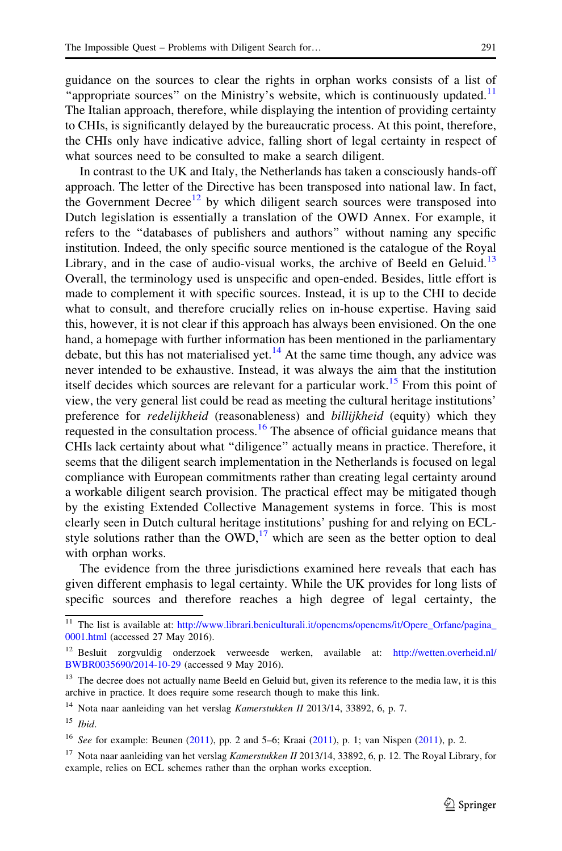guidance on the sources to clear the rights in orphan works consists of a list of "appropriate sources" on the Ministry's website, which is continuously updated.<sup>11</sup> The Italian approach, therefore, while displaying the intention of providing certainty to CHIs, is significantly delayed by the bureaucratic process. At this point, therefore, the CHIs only have indicative advice, falling short of legal certainty in respect of what sources need to be consulted to make a search diligent.

In contrast to the UK and Italy, the Netherlands has taken a consciously hands-off approach. The letter of the Directive has been transposed into national law. In fact, the Government Decree<sup>12</sup> by which diligent search sources were transposed into Dutch legislation is essentially a translation of the OWD Annex. For example, it refers to the ''databases of publishers and authors'' without naming any specific institution. Indeed, the only specific source mentioned is the catalogue of the Royal Library, and in the case of audio-visual works, the archive of Beeld en Geluid.<sup>13</sup> Overall, the terminology used is unspecific and open-ended. Besides, little effort is made to complement it with specific sources. Instead, it is up to the CHI to decide what to consult, and therefore crucially relies on in-house expertise. Having said this, however, it is not clear if this approach has always been envisioned. On the one hand, a homepage with further information has been mentioned in the parliamentary debate, but this has not materialised yet.<sup>14</sup> At the same time though, any advice was never intended to be exhaustive. Instead, it was always the aim that the institution itself decides which sources are relevant for a particular work.<sup>15</sup> From this point of view, the very general list could be read as meeting the cultural heritage institutions' preference for *redelijkheid* (reasonableness) and *billijkheid* (equity) which they requested in the consultation process.<sup>16</sup> The absence of official guidance means that CHIs lack certainty about what ''diligence'' actually means in practice. Therefore, it seems that the diligent search implementation in the Netherlands is focused on legal compliance with European commitments rather than creating legal certainty around a workable diligent search provision. The practical effect may be mitigated though by the existing Extended Collective Management systems in force. This is most clearly seen in Dutch cultural heritage institutions' pushing for and relying on ECLstyle solutions rather than the OWD,  $17$  which are seen as the better option to deal with orphan works.

The evidence from the three jurisdictions examined here reveals that each has given different emphasis to legal certainty. While the UK provides for long lists of specific sources and therefore reaches a high degree of legal certainty, the

<sup>&</sup>lt;sup>11</sup> The list is available at: [http://www.librari.beniculturali.it/opencms/opencms/it/Opere\\_Orfane/pagina\\_](http://www.librari.beniculturali.it/opencms/opencms/it/Opere_Orfane/pagina_0001.html) [0001.html](http://www.librari.beniculturali.it/opencms/opencms/it/Opere_Orfane/pagina_0001.html) (accessed 27 May 2016).

<sup>&</sup>lt;sup>12</sup> Besluit zorgvuldig onderzoek verweesde werken, available at: [http://wetten.overheid.nl/](http://wetten.overheid.nl/BWBR0035690/2014-10-29) [BWBR0035690/2014-10-29](http://wetten.overheid.nl/BWBR0035690/2014-10-29) (accessed 9 May 2016).

<sup>&</sup>lt;sup>13</sup> The decree does not actually name Beeld en Geluid but, given its reference to the media law, it is this archive in practice. It does require some research though to make this link.

<sup>&</sup>lt;sup>14</sup> Nota naar aanleiding van het verslag Kamerstukken II 2013/14, 33892, 6, p. 7.

 $15$  Ibid.

<sup>16</sup> See for example: Beunen [\(2011](#page-17-0)), pp. 2 and 5–6; Kraai ([2011\)](#page-18-0), p. 1; van Nispen [\(2011](#page-18-0)), p. 2.

<sup>&</sup>lt;sup>17</sup> Nota naar aanleiding van het verslag Kamerstukken II 2013/14, 33892, 6, p. 12. The Royal Library, for example, relies on ECL schemes rather than the orphan works exception.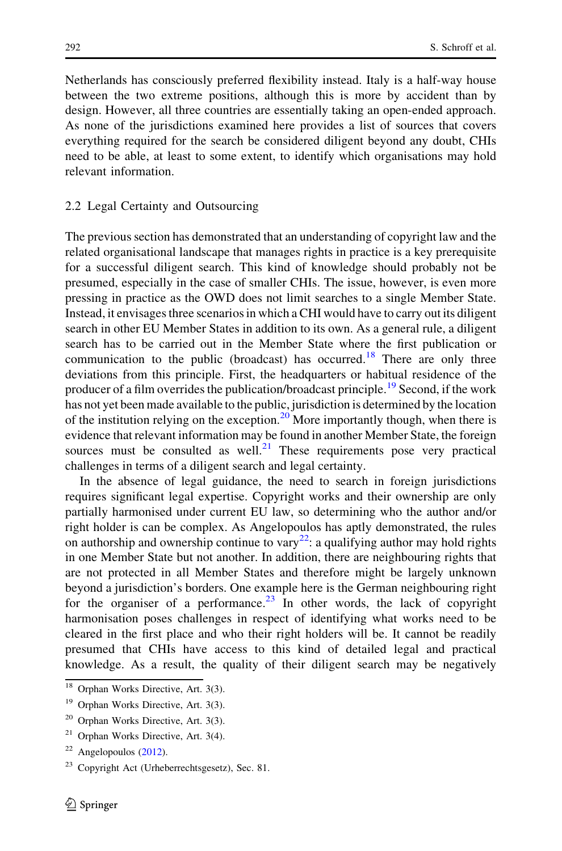Netherlands has consciously preferred flexibility instead. Italy is a half-way house between the two extreme positions, although this is more by accident than by design. However, all three countries are essentially taking an open-ended approach. As none of the jurisdictions examined here provides a list of sources that covers everything required for the search be considered diligent beyond any doubt, CHIs need to be able, at least to some extent, to identify which organisations may hold relevant information.

### 2.2 Legal Certainty and Outsourcing

The previous section has demonstrated that an understanding of copyright law and the related organisational landscape that manages rights in practice is a key prerequisite for a successful diligent search. This kind of knowledge should probably not be presumed, especially in the case of smaller CHIs. The issue, however, is even more pressing in practice as the OWD does not limit searches to a single Member State. Instead, it envisages three scenarios in which a CHI would have to carry out its diligent search in other EU Member States in addition to its own. As a general rule, a diligent search has to be carried out in the Member State where the first publication or communication to the public (broadcast) has occurred.<sup>18</sup> There are only three deviations from this principle. First, the headquarters or habitual residence of the producer of a film overrides the publication/broadcast principle.<sup>19</sup> Second, if the work has not yet been made available to the public, jurisdiction is determined by the location of the institution relying on the exception.<sup>20</sup> More importantly though, when there is evidence that relevant information may be found in another Member State, the foreign sources must be consulted as well. $^{21}$  These requirements pose very practical challenges in terms of a diligent search and legal certainty.

In the absence of legal guidance, the need to search in foreign jurisdictions requires significant legal expertise. Copyright works and their ownership are only partially harmonised under current EU law, so determining who the author and/or right holder is can be complex. As Angelopoulos has aptly demonstrated, the rules on authorship and ownership continue to vary<sup>22</sup>: a qualifying author may hold rights in one Member State but not another. In addition, there are neighbouring rights that are not protected in all Member States and therefore might be largely unknown beyond a jurisdiction's borders. One example here is the German neighbouring right for the organiser of a performance.<sup>23</sup> In other words, the lack of copyright harmonisation poses challenges in respect of identifying what works need to be cleared in the first place and who their right holders will be. It cannot be readily presumed that CHIs have access to this kind of detailed legal and practical knowledge. As a result, the quality of their diligent search may be negatively

<sup>&</sup>lt;sup>18</sup> Orphan Works Directive, Art. 3(3).

<sup>&</sup>lt;sup>19</sup> Orphan Works Directive, Art. 3(3).

<sup>20</sup> Orphan Works Directive, Art. 3(3).

 $21$  Orphan Works Directive, Art. 3(4).

 $22$  Angelopoulos ([2012\)](#page-17-0).

<sup>&</sup>lt;sup>23</sup> Copyright Act (Urheberrechtsgesetz), Sec. 81.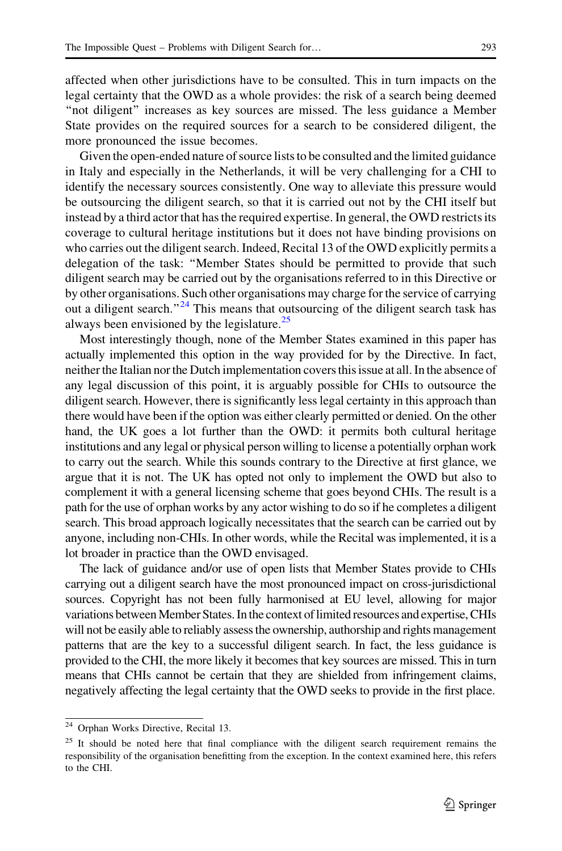affected when other jurisdictions have to be consulted. This in turn impacts on the legal certainty that the OWD as a whole provides: the risk of a search being deemed ''not diligent'' increases as key sources are missed. The less guidance a Member State provides on the required sources for a search to be considered diligent, the more pronounced the issue becomes.

Given the open-ended nature of source lists to be consulted and the limited guidance in Italy and especially in the Netherlands, it will be very challenging for a CHI to identify the necessary sources consistently. One way to alleviate this pressure would be outsourcing the diligent search, so that it is carried out not by the CHI itself but instead by a third actor that has the required expertise. In general, the OWD restricts its coverage to cultural heritage institutions but it does not have binding provisions on who carries out the diligent search. Indeed, Recital 13 of the OWD explicitly permits a delegation of the task: ''Member States should be permitted to provide that such diligent search may be carried out by the organisations referred to in this Directive or by other organisations. Such other organisations may charge for the service of carrying out a diligent search.<sup>"24</sup> This means that outsourcing of the diligent search task has always been envisioned by the legislature. $25$ 

Most interestingly though, none of the Member States examined in this paper has actually implemented this option in the way provided for by the Directive. In fact, neither the Italian nor the Dutch implementation covers this issue at all. In the absence of any legal discussion of this point, it is arguably possible for CHIs to outsource the diligent search. However, there is significantly less legal certainty in this approach than there would have been if the option was either clearly permitted or denied. On the other hand, the UK goes a lot further than the OWD: it permits both cultural heritage institutions and any legal or physical person willing to license a potentially orphan work to carry out the search. While this sounds contrary to the Directive at first glance, we argue that it is not. The UK has opted not only to implement the OWD but also to complement it with a general licensing scheme that goes beyond CHIs. The result is a path for the use of orphan works by any actor wishing to do so if he completes a diligent search. This broad approach logically necessitates that the search can be carried out by anyone, including non-CHIs. In other words, while the Recital was implemented, it is a lot broader in practice than the OWD envisaged.

The lack of guidance and/or use of open lists that Member States provide to CHIs carrying out a diligent search have the most pronounced impact on cross-jurisdictional sources. Copyright has not been fully harmonised at EU level, allowing for major variations between Member States. In the context of limited resources and expertise, CHIs will not be easily able to reliably assess the ownership, authorship and rights management patterns that are the key to a successful diligent search. In fact, the less guidance is provided to the CHI, the more likely it becomes that key sources are missed. This in turn means that CHIs cannot be certain that they are shielded from infringement claims, negatively affecting the legal certainty that the OWD seeks to provide in the first place.

<sup>24</sup> Orphan Works Directive, Recital 13.

<sup>&</sup>lt;sup>25</sup> It should be noted here that final compliance with the diligent search requirement remains the responsibility of the organisation benefitting from the exception. In the context examined here, this refers to the CHI.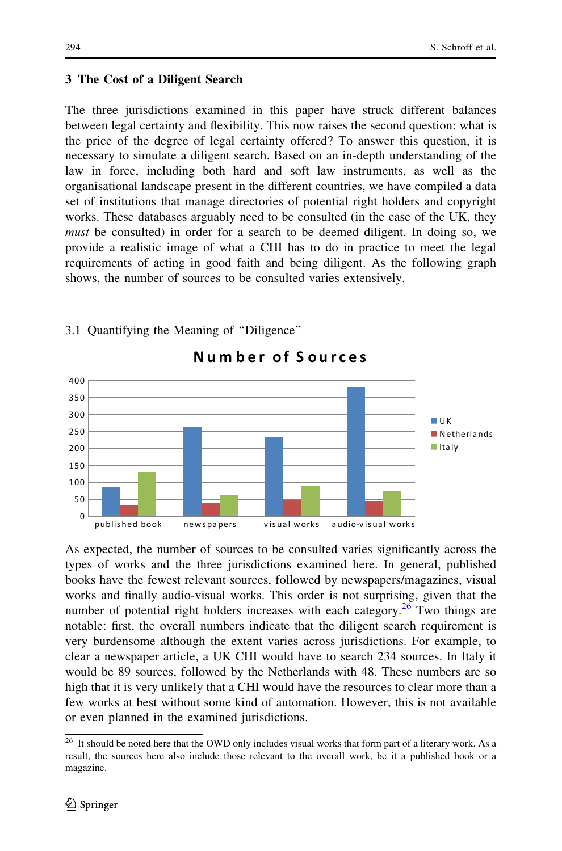### 3 The Cost of a Diligent Search

The three jurisdictions examined in this paper have struck different balances between legal certainty and flexibility. This now raises the second question: what is the price of the degree of legal certainty offered? To answer this question, it is necessary to simulate a diligent search. Based on an in-depth understanding of the law in force, including both hard and soft law instruments, as well as the organisational landscape present in the different countries, we have compiled a data set of institutions that manage directories of potential right holders and copyright works. These databases arguably need to be consulted (in the case of the UK, they must be consulted) in order for a search to be deemed diligent. In doing so, we provide a realistic image of what a CHI has to do in practice to meet the legal requirements of acting in good faith and being diligent. As the following graph shows, the number of sources to be consulted varies extensively.

## 3.1 Quantifying the Meaning of ''Diligence''



# **Num ber of S ources**

As expected, the number of sources to be consulted varies significantly across the types of works and the three jurisdictions examined here. In general, published books have the fewest relevant sources, followed by newspapers/magazines, visual works and finally audio-visual works. This order is not surprising, given that the number of potential right holders increases with each category.<sup>26</sup> Two things are notable: first, the overall numbers indicate that the diligent search requirement is very burdensome although the extent varies across jurisdictions. For example, to clear a newspaper article, a UK CHI would have to search 234 sources. In Italy it would be 89 sources, followed by the Netherlands with 48. These numbers are so high that it is very unlikely that a CHI would have the resources to clear more than a few works at best without some kind of automation. However, this is not available or even planned in the examined jurisdictions.

 $26$  It should be noted here that the OWD only includes visual works that form part of a literary work. As a result, the sources here also include those relevant to the overall work, be it a published book or a magazine.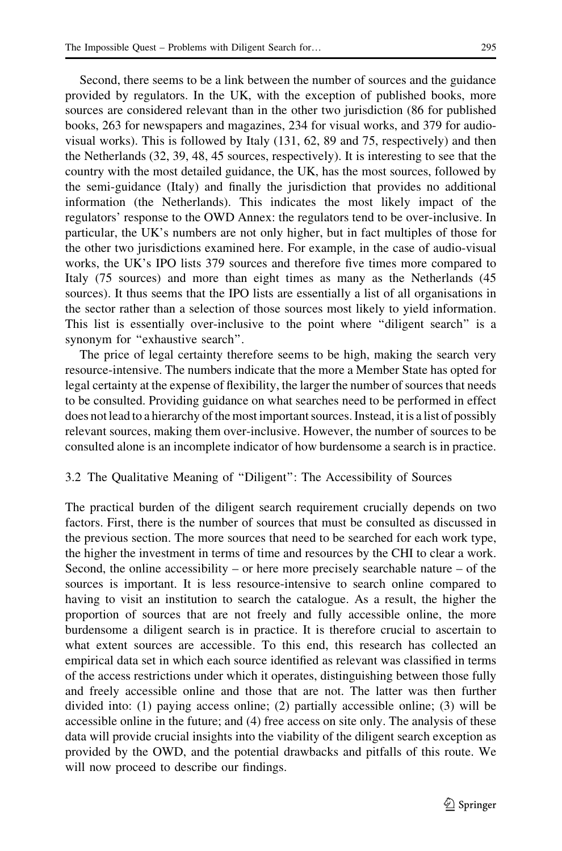Second, there seems to be a link between the number of sources and the guidance provided by regulators. In the UK, with the exception of published books, more sources are considered relevant than in the other two jurisdiction (86 for published books, 263 for newspapers and magazines, 234 for visual works, and 379 for audiovisual works). This is followed by Italy (131, 62, 89 and 75, respectively) and then the Netherlands (32, 39, 48, 45 sources, respectively). It is interesting to see that the country with the most detailed guidance, the UK, has the most sources, followed by the semi-guidance (Italy) and finally the jurisdiction that provides no additional information (the Netherlands). This indicates the most likely impact of the regulators' response to the OWD Annex: the regulators tend to be over-inclusive. In particular, the UK's numbers are not only higher, but in fact multiples of those for the other two jurisdictions examined here. For example, in the case of audio-visual works, the UK's IPO lists 379 sources and therefore five times more compared to Italy (75 sources) and more than eight times as many as the Netherlands (45 sources). It thus seems that the IPO lists are essentially a list of all organisations in the sector rather than a selection of those sources most likely to yield information. This list is essentially over-inclusive to the point where ''diligent search'' is a synonym for "exhaustive search".

The price of legal certainty therefore seems to be high, making the search very resource-intensive. The numbers indicate that the more a Member State has opted for legal certainty at the expense of flexibility, the larger the number of sources that needs to be consulted. Providing guidance on what searches need to be performed in effect does not lead to a hierarchy of the most important sources. Instead, it is a list of possibly relevant sources, making them over-inclusive. However, the number of sources to be consulted alone is an incomplete indicator of how burdensome a search is in practice.

### 3.2 The Qualitative Meaning of ''Diligent'': The Accessibility of Sources

The practical burden of the diligent search requirement crucially depends on two factors. First, there is the number of sources that must be consulted as discussed in the previous section. The more sources that need to be searched for each work type, the higher the investment in terms of time and resources by the CHI to clear a work. Second, the online accessibility – or here more precisely searchable nature – of the sources is important. It is less resource-intensive to search online compared to having to visit an institution to search the catalogue. As a result, the higher the proportion of sources that are not freely and fully accessible online, the more burdensome a diligent search is in practice. It is therefore crucial to ascertain to what extent sources are accessible. To this end, this research has collected an empirical data set in which each source identified as relevant was classified in terms of the access restrictions under which it operates, distinguishing between those fully and freely accessible online and those that are not. The latter was then further divided into: (1) paying access online; (2) partially accessible online; (3) will be accessible online in the future; and (4) free access on site only. The analysis of these data will provide crucial insights into the viability of the diligent search exception as provided by the OWD, and the potential drawbacks and pitfalls of this route. We will now proceed to describe our findings.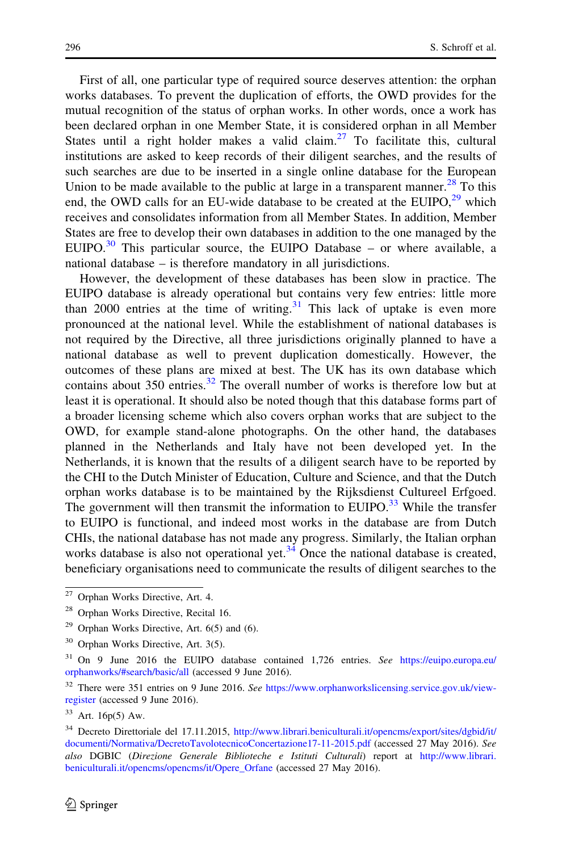First of all, one particular type of required source deserves attention: the orphan works databases. To prevent the duplication of efforts, the OWD provides for the mutual recognition of the status of orphan works. In other words, once a work has been declared orphan in one Member State, it is considered orphan in all Member States until a right holder makes a valid claim.<sup>27</sup> To facilitate this, cultural institutions are asked to keep records of their diligent searches, and the results of such searches are due to be inserted in a single online database for the European Union to be made available to the public at large in a transparent manner.<sup>28</sup> To this end, the OWD calls for an EU-wide database to be created at the EUIPO, $^{29}$  which receives and consolidates information from all Member States. In addition, Member States are free to develop their own databases in addition to the one managed by the EUIPO.<sup>30</sup> This particular source, the EUIPO Database – or where available, a national database – is therefore mandatory in all jurisdictions.

However, the development of these databases has been slow in practice. The EUIPO database is already operational but contains very few entries: little more than 2000 entries at the time of writing.<sup>31</sup> This lack of uptake is even more pronounced at the national level. While the establishment of national databases is not required by the Directive, all three jurisdictions originally planned to have a national database as well to prevent duplication domestically. However, the outcomes of these plans are mixed at best. The UK has its own database which contains about  $350$  entries.<sup>32</sup> The overall number of works is therefore low but at least it is operational. It should also be noted though that this database forms part of a broader licensing scheme which also covers orphan works that are subject to the OWD, for example stand-alone photographs. On the other hand, the databases planned in the Netherlands and Italy have not been developed yet. In the Netherlands, it is known that the results of a diligent search have to be reported by the CHI to the Dutch Minister of Education, Culture and Science, and that the Dutch orphan works database is to be maintained by the Rijksdienst Cultureel Erfgoed. The government will then transmit the information to EUIPO.<sup>33</sup> While the transfer to EUIPO is functional, and indeed most works in the database are from Dutch CHIs, the national database has not made any progress. Similarly, the Italian orphan works database is also not operational yet.<sup>34</sup> Once the national database is created, beneficiary organisations need to communicate the results of diligent searches to the

 $\overline{27}$  Orphan Works Directive, Art. 4.

<sup>28</sup> Orphan Works Directive, Recital 16.

<sup>&</sup>lt;sup>29</sup> Orphan Works Directive, Art.  $6(5)$  and  $(6)$ .

<sup>30</sup> Orphan Works Directive, Art. 3(5).

<sup>&</sup>lt;sup>31</sup> On 9 June 2016 the EUIPO database contained 1,726 entries. See [https://euipo.europa.eu/](https://euipo.europa.eu/orphanworks/%23search/basic/all) [orphanworks/#search/basic/all](https://euipo.europa.eu/orphanworks/%23search/basic/all) (accessed 9 June 2016).

<sup>&</sup>lt;sup>32</sup> There were 351 entries on 9 June 2016. See [https://www.orphanworkslicensing.service.gov.uk/view](https://www.orphanworkslicensing.service.gov.uk/view-register)[register](https://www.orphanworkslicensing.service.gov.uk/view-register) (accessed 9 June 2016).

 $33$  Art. 16p(5) Aw.

<sup>&</sup>lt;sup>34</sup> Decreto Direttoriale del 17.11.2015, [http://www.librari.beniculturali.it/opencms/export/sites/dgbid/it/](http://www.librari.beniculturali.it/opencms/export/sites/dgbid/it/documenti/Normativa/DecretoTavolotecnicoConcertazione17-11-2015.pdf) [documenti/Normativa/DecretoTavolotecnicoConcertazione17-11-2015.pdf](http://www.librari.beniculturali.it/opencms/export/sites/dgbid/it/documenti/Normativa/DecretoTavolotecnicoConcertazione17-11-2015.pdf) (accessed 27 May 2016). See also DGBIC (Direzione Generale Biblioteche e Istituti Culturali) report at [http://www.librari.](http://www.librari.beniculturali.it/opencms/opencms/it/Opere_Orfane) [beniculturali.it/opencms/opencms/it/Opere\\_Orfane](http://www.librari.beniculturali.it/opencms/opencms/it/Opere_Orfane) (accessed 27 May 2016).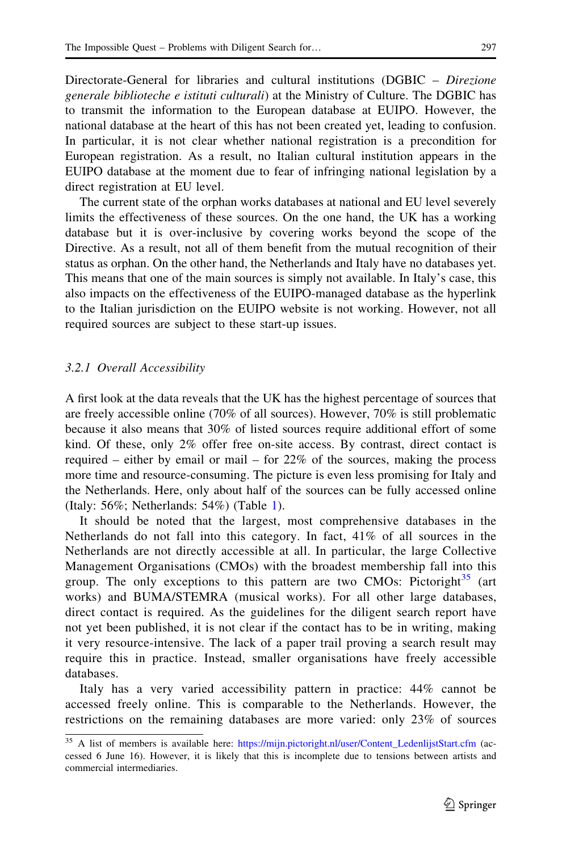Directorate-General for libraries and cultural institutions (DGBIC – Direzione generale biblioteche e istituti culturali) at the Ministry of Culture. The DGBIC has to transmit the information to the European database at EUIPO. However, the national database at the heart of this has not been created yet, leading to confusion. In particular, it is not clear whether national registration is a precondition for European registration. As a result, no Italian cultural institution appears in the EUIPO database at the moment due to fear of infringing national legislation by a direct registration at EU level.

The current state of the orphan works databases at national and EU level severely limits the effectiveness of these sources. On the one hand, the UK has a working database but it is over-inclusive by covering works beyond the scope of the Directive. As a result, not all of them benefit from the mutual recognition of their status as orphan. On the other hand, the Netherlands and Italy have no databases yet. This means that one of the main sources is simply not available. In Italy's case, this also impacts on the effectiveness of the EUIPO-managed database as the hyperlink to the Italian jurisdiction on the EUIPO website is not working. However, not all required sources are subject to these start-up issues.

### 3.2.1 Overall Accessibility

A first look at the data reveals that the UK has the highest percentage of sources that are freely accessible online (70% of all sources). However, 70% is still problematic because it also means that 30% of listed sources require additional effort of some kind. Of these, only 2% offer free on-site access. By contrast, direct contact is required – either by email or mail – for  $22\%$  of the sources, making the process more time and resource-consuming. The picture is even less promising for Italy and the Netherlands. Here, only about half of the sources can be fully accessed online (Italy: 56%; Netherlands: 54%) (Table [1](#page-12-0)).

It should be noted that the largest, most comprehensive databases in the Netherlands do not fall into this category. In fact, 41% of all sources in the Netherlands are not directly accessible at all. In particular, the large Collective Management Organisations (CMOs) with the broadest membership fall into this group. The only exceptions to this pattern are two CMOs: Pictoright<sup>35</sup> (art works) and BUMA/STEMRA (musical works). For all other large databases, direct contact is required. As the guidelines for the diligent search report have not yet been published, it is not clear if the contact has to be in writing, making it very resource-intensive. The lack of a paper trail proving a search result may require this in practice. Instead, smaller organisations have freely accessible databases.

Italy has a very varied accessibility pattern in practice: 44% cannot be accessed freely online. This is comparable to the Netherlands. However, the restrictions on the remaining databases are more varied: only 23% of sources

<sup>35</sup> A list of members is available here: [https://mijn.pictoright.nl/user/Content\\_LedenlijstStart.cfm](https://mijn.pictoright.nl/user/Content_LedenlijstStart.cfm) (accessed 6 June 16). However, it is likely that this is incomplete due to tensions between artists and commercial intermediaries.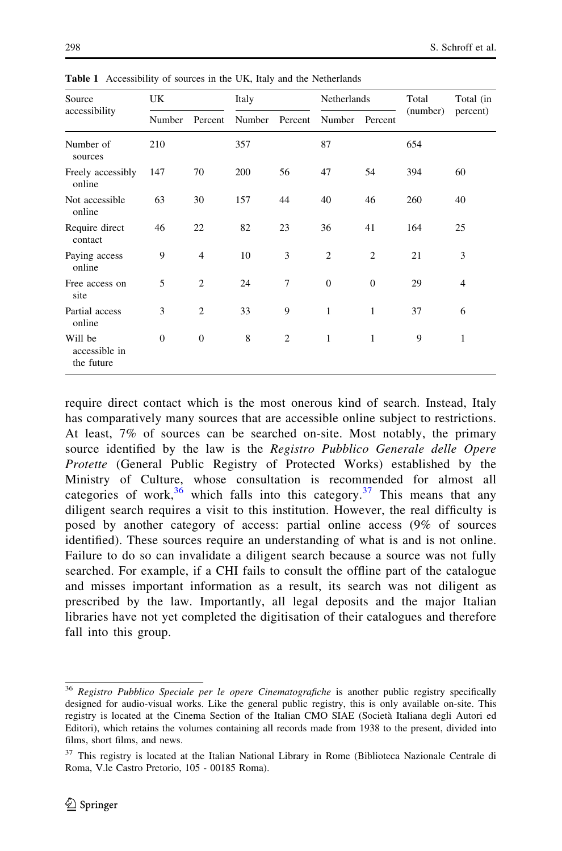| Source<br>accessibility                | UK       |                  | Italy  |                | Netherlands    |                | Total    | Total (in      |
|----------------------------------------|----------|------------------|--------|----------------|----------------|----------------|----------|----------------|
|                                        | Number   | Percent          | Number | Percent        | Number         | Percent        | (number) | percent)       |
| Number of<br>sources                   | 210      |                  | 357    |                | 87             |                | 654      |                |
| Freely accessibly<br>online            | 147      | 70               | 200    | 56             | 47             | 54             | 394      | 60             |
| Not accessible<br>online               | 63       | 30               | 157    | 44             | 40             | 46             | 260      | 40             |
| Require direct<br>contact              | 46       | 22               | 82     | 23             | 36             | 41             | 164      | 25             |
| Paying access<br>online                | 9        | $\overline{4}$   | 10     | 3              | $\overline{c}$ | $\overline{2}$ | 21       | 3              |
| Free access on<br>site                 | 5        | $\overline{2}$   | 24     | 7              | $\theta$       | $\overline{0}$ | 29       | $\overline{4}$ |
| Partial access<br>online               | 3        | $\overline{2}$   | 33     | 9              | $\mathbf{1}$   | $\mathbf{1}$   | 37       | 6              |
| Will be<br>accessible in<br>the future | $\theta$ | $\boldsymbol{0}$ | 8      | $\mathfrak{2}$ | 1              | $\mathbf{1}$   | 9        | 1              |

<span id="page-12-0"></span>Table 1 Accessibility of sources in the UK, Italy and the Netherlands

require direct contact which is the most onerous kind of search. Instead, Italy has comparatively many sources that are accessible online subject to restrictions. At least, 7% of sources can be searched on-site. Most notably, the primary source identified by the law is the Registro Pubblico Generale delle Opere Protette (General Public Registry of Protected Works) established by the Ministry of Culture, whose consultation is recommended for almost all categories of work,  $36$  which falls into this category.<sup>37</sup> This means that any diligent search requires a visit to this institution. However, the real difficulty is posed by another category of access: partial online access (9% of sources identified). These sources require an understanding of what is and is not online. Failure to do so can invalidate a diligent search because a source was not fully searched. For example, if a CHI fails to consult the offline part of the catalogue and misses important information as a result, its search was not diligent as prescribed by the law. Importantly, all legal deposits and the major Italian libraries have not yet completed the digitisation of their catalogues and therefore fall into this group.

<sup>&</sup>lt;sup>36</sup> Registro Pubblico Speciale per le opere Cinematografiche is another public registry specifically designed for audio-visual works. Like the general public registry, this is only available on-site. This registry is located at the Cinema Section of the Italian CMO SIAE (Societa` Italiana degli Autori ed Editori), which retains the volumes containing all records made from 1938 to the present, divided into films, short films, and news.

<sup>&</sup>lt;sup>37</sup> This registry is located at the Italian National Library in Rome (Biblioteca Nazionale Centrale di Roma, V.le Castro Pretorio, 105 - 00185 Roma).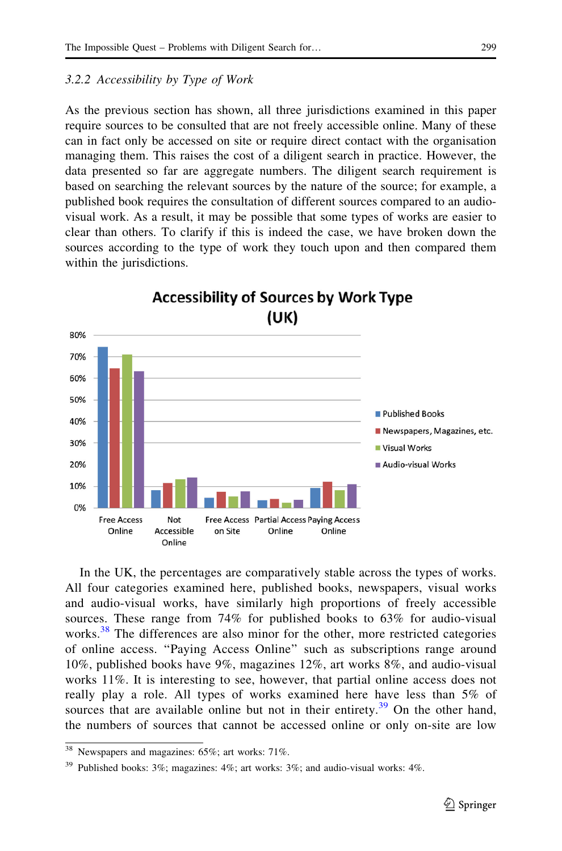### 3.2.2 Accessibility by Type of Work

As the previous section has shown, all three jurisdictions examined in this paper require sources to be consulted that are not freely accessible online. Many of these can in fact only be accessed on site or require direct contact with the organisation managing them. This raises the cost of a diligent search in practice. However, the data presented so far are aggregate numbers. The diligent search requirement is based on searching the relevant sources by the nature of the source; for example, a published book requires the consultation of different sources compared to an audiovisual work. As a result, it may be possible that some types of works are easier to clear than others. To clarify if this is indeed the case, we have broken down the sources according to the type of work they touch upon and then compared them within the jurisdictions.



In the UK, the percentages are comparatively stable across the types of works. All four categories examined here, published books, newspapers, visual works and audio-visual works, have similarly high proportions of freely accessible sources. These range from 74% for published books to 63% for audio-visual works.<sup>38</sup> The differences are also minor for the other, more restricted categories of online access. ''Paying Access Online'' such as subscriptions range around 10%, published books have 9%, magazines 12%, art works 8%, and audio-visual works 11%. It is interesting to see, however, that partial online access does not really play a role. All types of works examined here have less than 5% of sources that are available online but not in their entirety.<sup>39</sup> On the other hand, the numbers of sources that cannot be accessed online or only on-site are low

<sup>38</sup> Newspapers and magazines: 65%; art works: 71%.

 $39$  Published books:  $3\%$ ; magazines:  $4\%$ ; art works:  $3\%$ ; and audio-visual works:  $4\%$ .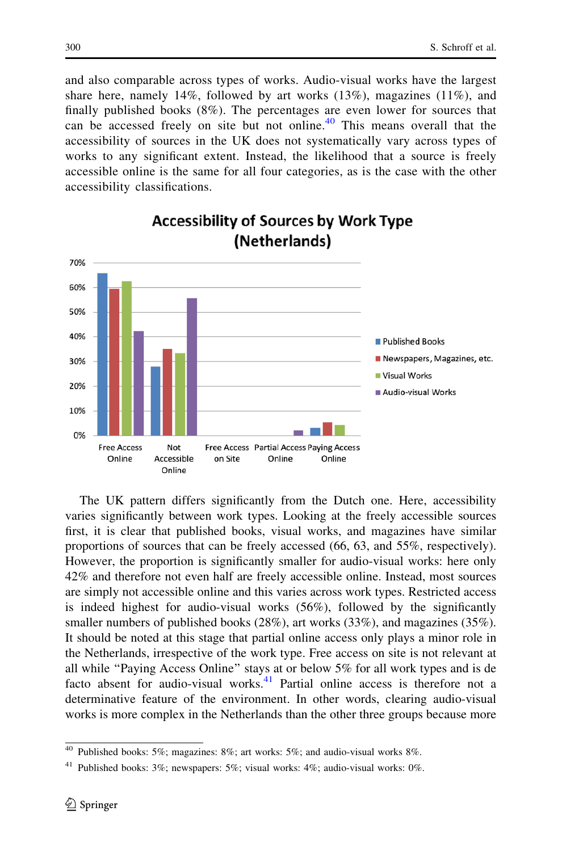and also comparable across types of works. Audio-visual works have the largest share here, namely  $14\%$ , followed by art works  $(13\%)$ , magazines  $(11\%)$ , and finally published books (8%). The percentages are even lower for sources that can be accessed freely on site but not online.<sup>40</sup> This means overall that the accessibility of sources in the UK does not systematically vary across types of works to any significant extent. Instead, the likelihood that a source is freely accessible online is the same for all four categories, as is the case with the other accessibility classifications.



The UK pattern differs significantly from the Dutch one. Here, accessibility varies significantly between work types. Looking at the freely accessible sources first, it is clear that published books, visual works, and magazines have similar proportions of sources that can be freely accessed (66, 63, and 55%, respectively). However, the proportion is significantly smaller for audio-visual works: here only 42% and therefore not even half are freely accessible online. Instead, most sources are simply not accessible online and this varies across work types. Restricted access is indeed highest for audio-visual works (56%), followed by the significantly smaller numbers of published books (28%), art works (33%), and magazines (35%). It should be noted at this stage that partial online access only plays a minor role in the Netherlands, irrespective of the work type. Free access on site is not relevant at all while ''Paying Access Online'' stays at or below 5% for all work types and is de facto absent for audio-visual works. $41$  Partial online access is therefore not a determinative feature of the environment. In other words, clearing audio-visual works is more complex in the Netherlands than the other three groups because more

<sup>&</sup>lt;sup>40</sup> Published books: 5%; magazines: 8%; art works: 5%; and audio-visual works 8%.

<sup>&</sup>lt;sup>41</sup> Published books: 3%; newspapers: 5%; visual works: 4%; audio-visual works: 0%.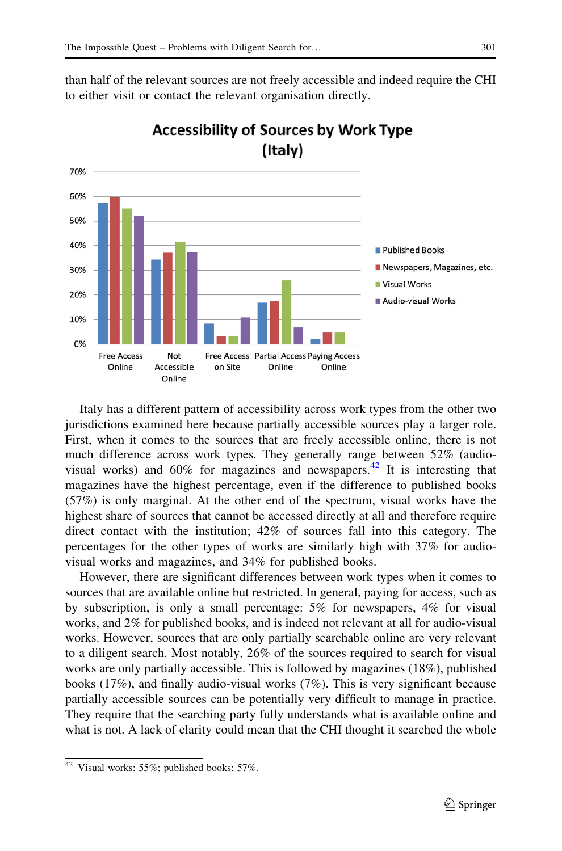than half of the relevant sources are not freely accessible and indeed require the CHI to either visit or contact the relevant organisation directly.



**Accessibility of Sources by Work Type** (Italy)

Italy has a different pattern of accessibility across work types from the other two jurisdictions examined here because partially accessible sources play a larger role. First, when it comes to the sources that are freely accessible online, there is not much difference across work types. They generally range between 52% (audiovisual works) and 60% for magazines and newspapers.<sup>42</sup> It is interesting that magazines have the highest percentage, even if the difference to published books (57%) is only marginal. At the other end of the spectrum, visual works have the highest share of sources that cannot be accessed directly at all and therefore require direct contact with the institution; 42% of sources fall into this category. The percentages for the other types of works are similarly high with 37% for audiovisual works and magazines, and 34% for published books.

However, there are significant differences between work types when it comes to sources that are available online but restricted. In general, paying for access, such as by subscription, is only a small percentage: 5% for newspapers, 4% for visual works, and 2% for published books, and is indeed not relevant at all for audio-visual works. However, sources that are only partially searchable online are very relevant to a diligent search. Most notably, 26% of the sources required to search for visual works are only partially accessible. This is followed by magazines (18%), published books (17%), and finally audio-visual works (7%). This is very significant because partially accessible sources can be potentially very difficult to manage in practice. They require that the searching party fully understands what is available online and what is not. A lack of clarity could mean that the CHI thought it searched the whole

<sup>42</sup> Visual works: 55%; published books: 57%.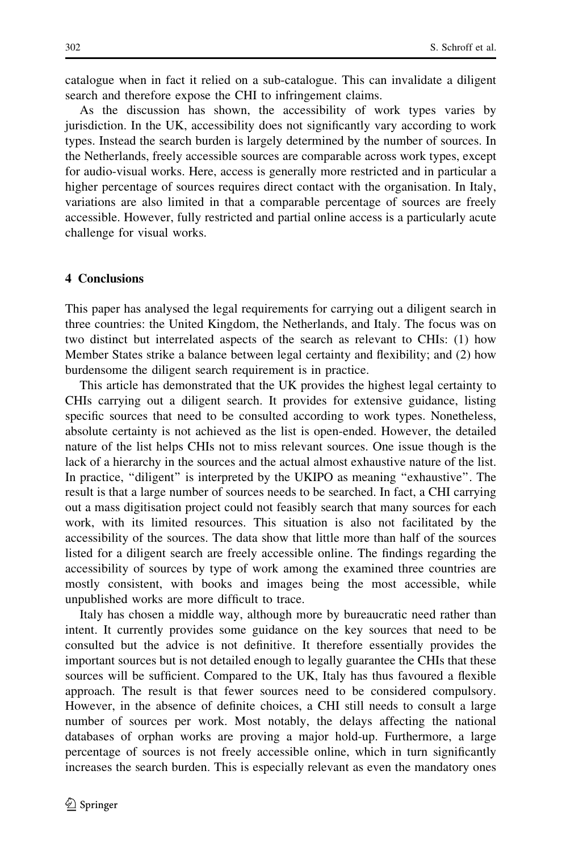catalogue when in fact it relied on a sub-catalogue. This can invalidate a diligent search and therefore expose the CHI to infringement claims.

As the discussion has shown, the accessibility of work types varies by jurisdiction. In the UK, accessibility does not significantly vary according to work types. Instead the search burden is largely determined by the number of sources. In the Netherlands, freely accessible sources are comparable across work types, except for audio-visual works. Here, access is generally more restricted and in particular a higher percentage of sources requires direct contact with the organisation. In Italy, variations are also limited in that a comparable percentage of sources are freely accessible. However, fully restricted and partial online access is a particularly acute challenge for visual works.

### 4 Conclusions

This paper has analysed the legal requirements for carrying out a diligent search in three countries: the United Kingdom, the Netherlands, and Italy. The focus was on two distinct but interrelated aspects of the search as relevant to CHIs: (1) how Member States strike a balance between legal certainty and flexibility; and (2) how burdensome the diligent search requirement is in practice.

This article has demonstrated that the UK provides the highest legal certainty to CHIs carrying out a diligent search. It provides for extensive guidance, listing specific sources that need to be consulted according to work types. Nonetheless, absolute certainty is not achieved as the list is open-ended. However, the detailed nature of the list helps CHIs not to miss relevant sources. One issue though is the lack of a hierarchy in the sources and the actual almost exhaustive nature of the list. In practice, "diligent" is interpreted by the UKIPO as meaning "exhaustive". The result is that a large number of sources needs to be searched. In fact, a CHI carrying out a mass digitisation project could not feasibly search that many sources for each work, with its limited resources. This situation is also not facilitated by the accessibility of the sources. The data show that little more than half of the sources listed for a diligent search are freely accessible online. The findings regarding the accessibility of sources by type of work among the examined three countries are mostly consistent, with books and images being the most accessible, while unpublished works are more difficult to trace.

Italy has chosen a middle way, although more by bureaucratic need rather than intent. It currently provides some guidance on the key sources that need to be consulted but the advice is not definitive. It therefore essentially provides the important sources but is not detailed enough to legally guarantee the CHIs that these sources will be sufficient. Compared to the UK, Italy has thus favoured a flexible approach. The result is that fewer sources need to be considered compulsory. However, in the absence of definite choices, a CHI still needs to consult a large number of sources per work. Most notably, the delays affecting the national databases of orphan works are proving a major hold-up. Furthermore, a large percentage of sources is not freely accessible online, which in turn significantly increases the search burden. This is especially relevant as even the mandatory ones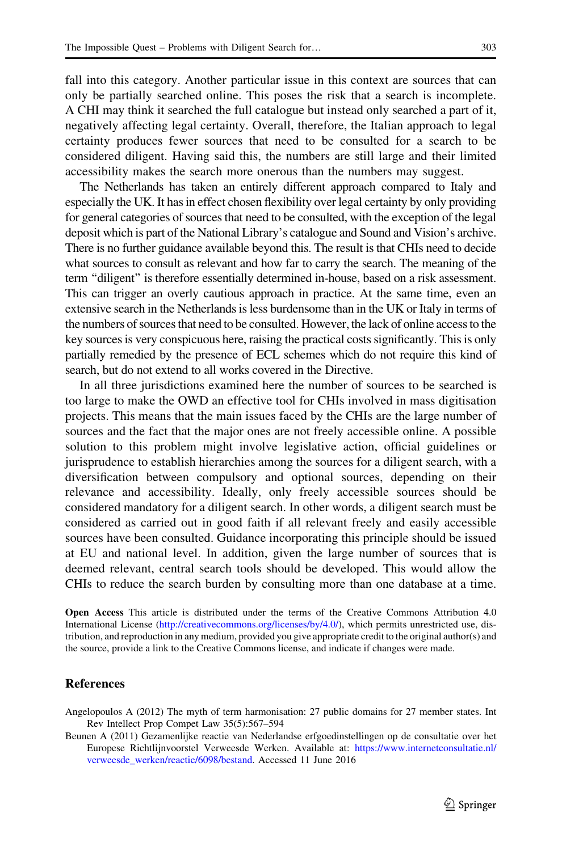<span id="page-17-0"></span>fall into this category. Another particular issue in this context are sources that can only be partially searched online. This poses the risk that a search is incomplete. A CHI may think it searched the full catalogue but instead only searched a part of it, negatively affecting legal certainty. Overall, therefore, the Italian approach to legal certainty produces fewer sources that need to be consulted for a search to be considered diligent. Having said this, the numbers are still large and their limited accessibility makes the search more onerous than the numbers may suggest.

The Netherlands has taken an entirely different approach compared to Italy and especially the UK. It has in effect chosen flexibility over legal certainty by only providing for general categories of sources that need to be consulted, with the exception of the legal deposit which is part of the National Library's catalogue and Sound and Vision's archive. There is no further guidance available beyond this. The result is that CHIs need to decide what sources to consult as relevant and how far to carry the search. The meaning of the term ''diligent'' is therefore essentially determined in-house, based on a risk assessment. This can trigger an overly cautious approach in practice. At the same time, even an extensive search in the Netherlands is less burdensome than in the UK or Italy in terms of the numbers of sources that need to be consulted. However, the lack of online access to the key sources is very conspicuous here, raising the practical costs significantly. This is only partially remedied by the presence of ECL schemes which do not require this kind of search, but do not extend to all works covered in the Directive.

In all three jurisdictions examined here the number of sources to be searched is too large to make the OWD an effective tool for CHIs involved in mass digitisation projects. This means that the main issues faced by the CHIs are the large number of sources and the fact that the major ones are not freely accessible online. A possible solution to this problem might involve legislative action, official guidelines or jurisprudence to establish hierarchies among the sources for a diligent search, with a diversification between compulsory and optional sources, depending on their relevance and accessibility. Ideally, only freely accessible sources should be considered mandatory for a diligent search. In other words, a diligent search must be considered as carried out in good faith if all relevant freely and easily accessible sources have been consulted. Guidance incorporating this principle should be issued at EU and national level. In addition, given the large number of sources that is deemed relevant, central search tools should be developed. This would allow the CHIs to reduce the search burden by consulting more than one database at a time.

Open Access This article is distributed under the terms of the Creative Commons Attribution 4.0 International License ([http://creativecommons.org/licenses/by/4.0/\)](http://creativecommons.org/licenses/by/4.0/), which permits unrestricted use, distribution, and reproduction in any medium, provided you give appropriate credit to the original author(s) and the source, provide a link to the Creative Commons license, and indicate if changes were made.

#### **References**

Angelopoulos A (2012) The myth of term harmonisation: 27 public domains for 27 member states. Int Rev Intellect Prop Compet Law 35(5):567–594

Beunen A (2011) Gezamenlijke reactie van Nederlandse erfgoedinstellingen op de consultatie over het Europese Richtlijnvoorstel Verweesde Werken. Available at: [https://www.internetconsultatie.nl/](https://www.internetconsultatie.nl/verweesde_werken/reactie/6098/bestand) [verweesde\\_werken/reactie/6098/bestand](https://www.internetconsultatie.nl/verweesde_werken/reactie/6098/bestand). Accessed 11 June 2016